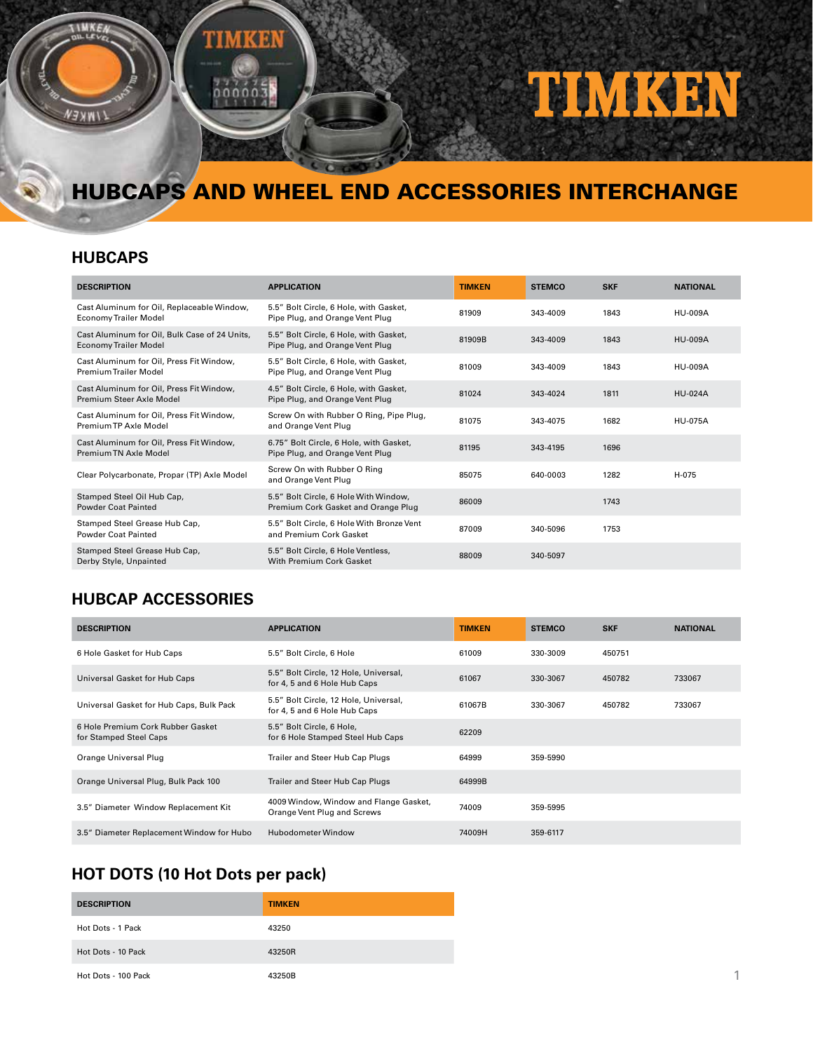

# HUBCAPS AND WHEEL END ACCESSORIES INTERCHANGE

#### **HUBCAPS**

| <b>DESCRIPTION</b>                                                            | <b>APPLICATION</b>                                                           | <b>TIMKEN</b> | <b>STEMCO</b> | <b>SKF</b> | <b>NATIONAL</b> |
|-------------------------------------------------------------------------------|------------------------------------------------------------------------------|---------------|---------------|------------|-----------------|
| Cast Aluminum for Oil, Replaceable Window,<br><b>Economy Trailer Model</b>    | 5.5" Bolt Circle, 6 Hole, with Gasket,<br>Pipe Plug, and Orange Vent Plug    | 81909         | 343-4009      | 1843       | <b>HU-009A</b>  |
| Cast Aluminum for Oil, Bulk Case of 24 Units,<br><b>Economy Trailer Model</b> | 5.5" Bolt Circle, 6 Hole, with Gasket,<br>Pipe Plug, and Orange Vent Plug    | 81909B        | 343-4009      | 1843       | <b>HU-009A</b>  |
| Cast Aluminum for Oil, Press Fit Window,<br>Premium Trailer Model             | 5.5" Bolt Circle, 6 Hole, with Gasket,<br>Pipe Plug, and Orange Vent Plug    | 81009         | 343-4009      | 1843       | <b>HU-009A</b>  |
| Cast Aluminum for Oil, Press Fit Window.<br>Premium Steer Axle Model          | 4.5" Bolt Circle, 6 Hole, with Gasket,<br>Pipe Plug, and Orange Vent Plug    | 81024         | 343-4024      | 1811       | <b>HU-024A</b>  |
| Cast Aluminum for Oil, Press Fit Window,<br>Premium TP Axle Model             | Screw On with Rubber O Ring, Pipe Plug,<br>and Orange Vent Plug              | 81075         | 343-4075      | 1682       | <b>HU-075A</b>  |
| Cast Aluminum for Oil, Press Fit Window,<br>Premium TN Axle Model             | 6.75" Bolt Circle, 6 Hole, with Gasket,<br>Pipe Plug, and Orange Vent Plug   | 81195         | 343-4195      | 1696       |                 |
| Clear Polycarbonate, Propar (TP) Axle Model                                   | Screw On with Rubber O Ring<br>and Orange Vent Plug                          | 85075         | 640-0003      | 1282       | H-075           |
| Stamped Steel Oil Hub Cap,<br>Powder Coat Painted                             | 5.5" Bolt Circle, 6 Hole With Window,<br>Premium Cork Gasket and Orange Plug | 86009         |               | 1743       |                 |
| Stamped Steel Grease Hub Cap,<br>Powder Coat Painted                          | 5.5" Bolt Circle, 6 Hole With Bronze Vent<br>and Premium Cork Gasket         | 87009         | 340-5096      | 1753       |                 |
| Stamped Steel Grease Hub Cap,<br>Derby Style, Unpainted                       | 5.5" Bolt Circle, 6 Hole Ventless,<br>With Premium Cork Gasket               | 88009         | 340-5097      |            |                 |

#### **HUBCAP ACCESSORIES**

| <b>DESCRIPTION</b>                                          | <b>APPLICATION</b>                                                    | <b>TIMKEN</b> | <b>STEMCO</b> | <b>SKF</b> | <b>NATIONAL</b> |
|-------------------------------------------------------------|-----------------------------------------------------------------------|---------------|---------------|------------|-----------------|
| 6 Hole Gasket for Hub Caps                                  | 5.5" Bolt Circle, 6 Hole                                              | 61009         | 330-3009      | 450751     |                 |
| Universal Gasket for Hub Caps                               | 5.5" Bolt Circle, 12 Hole, Universal,<br>for 4, 5 and 6 Hole Hub Caps | 61067         | 330-3067      | 450782     | 733067          |
| Universal Gasket for Hub Caps, Bulk Pack                    | 5.5" Bolt Circle, 12 Hole, Universal,<br>for 4, 5 and 6 Hole Hub Caps | 61067B        | 330-3067      | 450782     | 733067          |
| 6 Hole Premium Cork Rubber Gasket<br>for Stamped Steel Caps | 5.5" Bolt Circle, 6 Hole,<br>for 6 Hole Stamped Steel Hub Caps        | 62209         |               |            |                 |
| Orange Universal Plug                                       | Trailer and Steer Hub Cap Plugs                                       | 64999         | 359-5990      |            |                 |
| Orange Universal Plug, Bulk Pack 100                        | Trailer and Steer Hub Cap Plugs                                       | 64999B        |               |            |                 |
| 3.5" Diameter Window Replacement Kit                        | 4009 Window, Window and Flange Gasket,<br>Orange Vent Plug and Screws | 74009         | 359-5995      |            |                 |
| 3.5" Diameter Replacement Window for Hubo                   | Hubodometer Window                                                    | 74009H        | 359-6117      |            |                 |

## **HOT DOTS (10 Hot Dots per pack)**

| <b>DESCRIPTION</b>  | <b>TIMKEN</b> |
|---------------------|---------------|
| Hot Dots - 1 Pack   | 43250         |
| Hot Dots - 10 Pack  | 43250R        |
| Hot Dots - 100 Pack | 43250B        |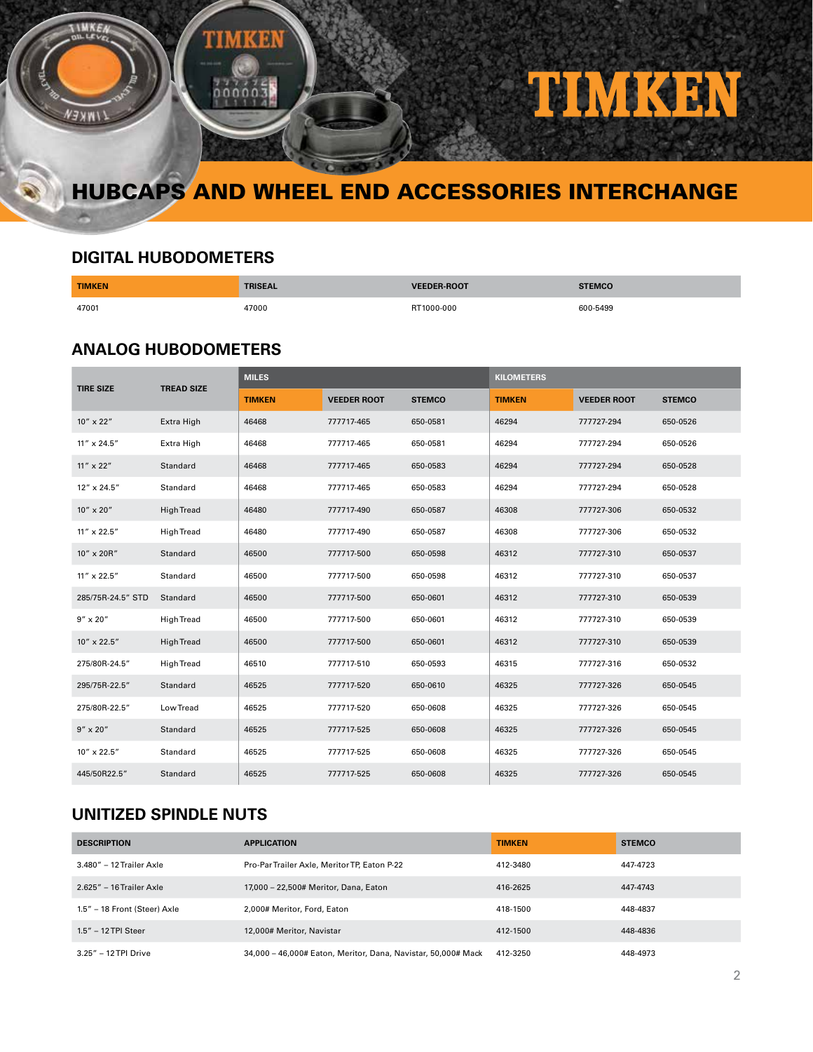

# HUBCAPS AND WHEEL END ACCESSORIES INTERCHANGE

### **DIGITAL HUBODOMETERS**

| <b>TIMKEN</b> | --    |            | <b>STEMCO</b> |
|---------------|-------|------------|---------------|
| 47001         | 47000 | RT1000-000 | 600-5499      |

#### **ANALOG HUBODOMETERS**

| <b>TIRE SIZE</b>   | <b>TREAD SIZE</b> | <b>MILES</b>  |                    |               | <b>KILOMETERS</b> |                    |               |
|--------------------|-------------------|---------------|--------------------|---------------|-------------------|--------------------|---------------|
|                    |                   | <b>TIMKEN</b> | <b>VEEDER ROOT</b> | <b>STEMCO</b> | <b>TIMKEN</b>     | <b>VEEDER ROOT</b> | <b>STEMCO</b> |
| 10" x 22"          | Extra High        | 46468         | 777717-465         | 650-0581      | 46294             | 777727-294         | 650-0526      |
| 11" x 24.5"        | Extra High        | 46468         | 777717-465         | 650-0581      | 46294             | 777727-294         | 650-0526      |
| $11'' \times 22''$ | Standard          | 46468         | 777717-465         | 650-0583      | 46294             | 777727-294         | 650-0528      |
| 12" x 24.5"        | Standard          | 46468         | 777717-465         | 650-0583      | 46294             | 777727-294         | 650-0528      |
| 10" x 20"          | <b>High Tread</b> | 46480         | 777717-490         | 650-0587      | 46308             | 777727-306         | 650-0532      |
| 11" x 22.5"        | <b>High Tread</b> | 46480         | 777717-490         | 650-0587      | 46308             | 777727-306         | 650-0532      |
| 10" x 20R"         | Standard          | 46500         | 777717-500         | 650-0598      | 46312             | 777727-310         | 650-0537      |
| 11" x 22.5"        | Standard          | 46500         | 777717-500         | 650-0598      | 46312             | 777727-310         | 650-0537      |
| 285/75R-24.5" STD  | Standard          | 46500         | 777717-500         | 650-0601      | 46312             | 777727-310         | 650-0539      |
| $9'' \times 20''$  | <b>High Tread</b> | 46500         | 777717-500         | 650-0601      | 46312             | 777727-310         | 650-0539      |
| 10" x 22.5"        | <b>High Tread</b> | 46500         | 777717-500         | 650-0601      | 46312             | 777727-310         | 650-0539      |
| 275/80R-24.5"      | <b>High Tread</b> | 46510         | 777717-510         | 650-0593      | 46315             | 777727-316         | 650-0532      |
| 295/75R-22.5"      | Standard          | 46525         | 777717-520         | 650-0610      | 46325             | 777727-326         | 650-0545      |
| 275/80R-22.5"      | Low Tread         | 46525         | 777717-520         | 650-0608      | 46325             | 777727-326         | 650-0545      |
| $9'' \times 20''$  | Standard          | 46525         | 777717-525         | 650-0608      | 46325             | 777727-326         | 650-0545      |
| 10" x 22.5"        | Standard          | 46525         | 777717-525         | 650-0608      | 46325             | 777727-326         | 650-0545      |
| 445/50R22.5"       | Standard          | 46525         | 777717-525         | 650-0608      | 46325             | 777727-326         | 650-0545      |

### **UNITIZED SPINDLE NUTS**

| <b>DESCRIPTION</b>           | <b>APPLICATION</b>                                            | <b>TIMKEN</b> | <b>STEMCO</b> |
|------------------------------|---------------------------------------------------------------|---------------|---------------|
| 3.480" - 12 Trailer Axle     | Pro-Par Trailer Axle, Meritor TP, Eaton P-22                  | 412-3480      | 447-4723      |
| 2.625" - 16 Trailer Axle     | 17.000 - 22.500# Meritor, Dana, Eaton                         | 416-2625      | 447-4743      |
| 1.5" - 18 Front (Steer) Axle | 2.000# Meritor, Ford, Eaton                                   | 418-1500      | 448-4837      |
| 1.5" - 12 TPI Steer          | 12,000# Meritor, Navistar                                     | 412-1500      | 448-4836      |
| 3.25" – 12 TPI Drive         | 34,000 - 46,000# Eaton, Meritor, Dana, Navistar, 50,000# Mack | 412-3250      | 448-4973      |